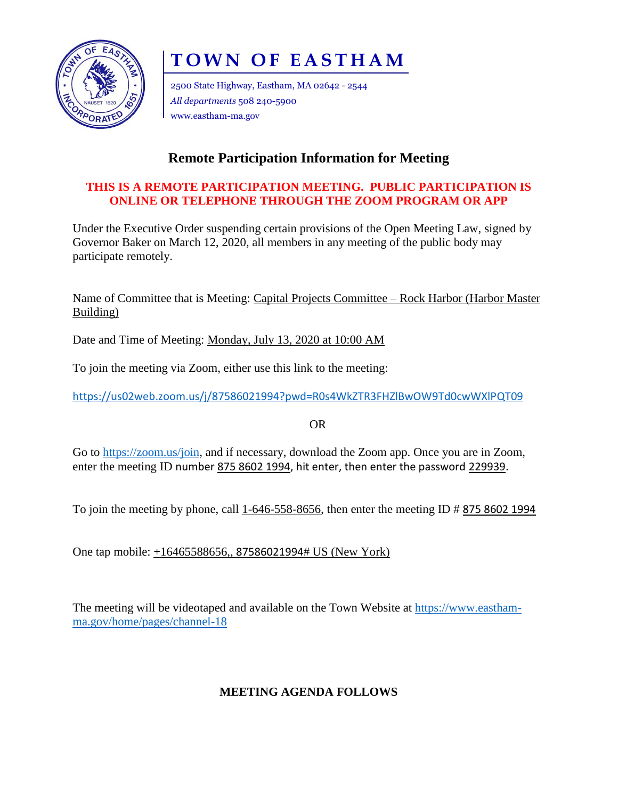

# **T O W N O F E A S T H A M**

2500 State Highway, Eastham, MA 02642 - 2544 *All departments* 508 240-5900 www.eastham-ma.gov

## **Remote Participation Information for Meeting**

### **THIS IS A REMOTE PARTICIPATION MEETING. PUBLIC PARTICIPATION IS ONLINE OR TELEPHONE THROUGH THE ZOOM PROGRAM OR APP**

Under the Executive Order suspending certain provisions of the Open Meeting Law, signed by Governor Baker on March 12, 2020, all members in any meeting of the public body may participate remotely.

Name of Committee that is Meeting: Capital Projects Committee – Rock Harbor (Harbor Master Building)

Date and Time of Meeting: Monday, July 13, 2020 at 10:00 AM

To join the meeting via Zoom, either use this link to the meeting:

<https://us02web.zoom.us/j/87586021994?pwd=R0s4WkZTR3FHZlBwOW9Td0cwWXlPQT09>

OR

Go to [https://zoom.us/join,](https://zoom.us/join) and if necessary, download the Zoom app. Once you are in Zoom, enter the meeting ID number 875 8602 1994, hit enter, then enter the password 229939.

To join the meeting by phone, call 1-646-558-8656, then enter the meeting ID # 875 8602 1994

One tap mobile: +16465588656,, 87586021994# US (New York)

The meeting will be videotaped and available on the Town Website at [https://www.eastham](https://www.eastham-ma.gov/home/pages/channel-18)[ma.gov/home/pages/channel-18](https://www.eastham-ma.gov/home/pages/channel-18)

## **MEETING AGENDA FOLLOWS**